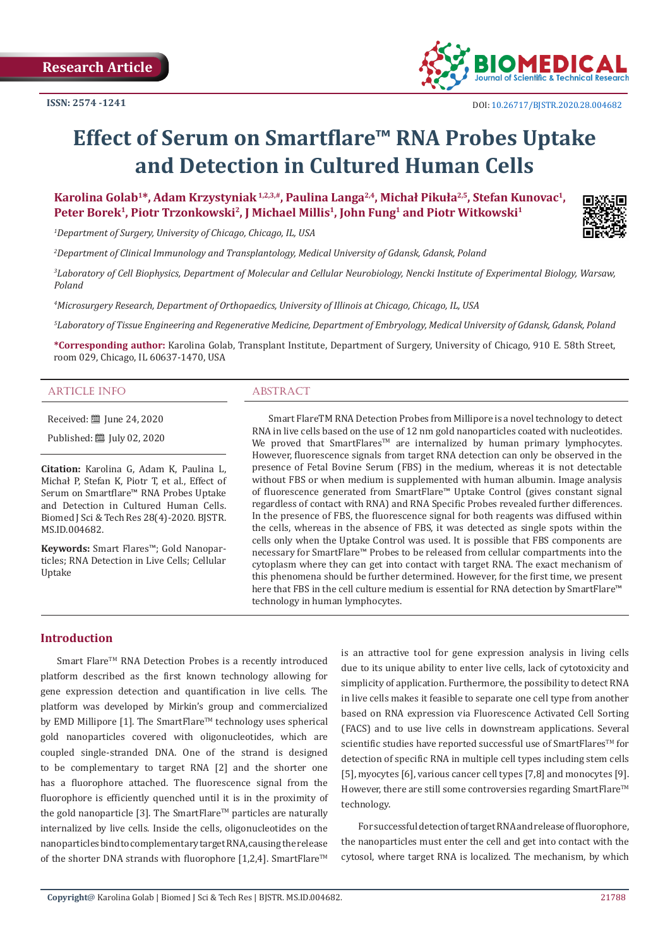

# **Effect of Serum on Smartflare™ RNA Probes Uptake and Detection in Cultured Human Cells**

**Karolina Golab<sup>1</sup>\*, Adam Krzystyniak 1,2,3,#, Paulina Langa2,4, Michał Pikuła2,5, Stefan Kunovac1, Peter Borek<sup>1</sup>, Piotr Trzonkowski<sup>2</sup>, J Michael Millis<sup>1</sup>, John Fung<sup>1</sup> and Piotr Witkowski<sup>1</sup>**

*1 Department of Surgery, University of Chicago, Chicago, IL, USA*

*2 Department of Clinical Immunology and Transplantology, Medical University of Gdansk, Gdansk, Poland*

*3 Laboratory of Cell Biophysics, Department of Molecular and Cellular Neurobiology, Nencki Institute of Experimental Biology, Warsaw, Poland*

*4 Microsurgery Research, Department of Orthopaedics, University of Illinois at Chicago, Chicago, IL, USA*

*5 Laboratory of Tissue Engineering and Regenerative Medicine, Department of Embryology, Medical University of Gdansk, Gdansk, Poland*

**\*Corresponding author:** Karolina Golab, Transplant Institute, Department of Surgery, University of Chicago, 910 E. 58th Street, room 029, Chicago, IL 60637-1470, USA

#### ARTICLE INFO ARSTRACT

Received: [101] Iune 24, 2020

Published: [10] July 02, 2020

**Citation:** Karolina G, Adam K, Paulina L, Michał P, Stefan K, Piotr T, et al., Effect of Serum on Smartflare™ RNA Probes Uptake and Detection in Cultured Human Cells. Biomed J Sci & Tech Res 28(4)-2020. BJSTR. MS.ID.004682.

**Keywords:** Smart Flares™; Gold Nanoparticles; RNA Detection in Live Cells; Cellular Uptake

Smart FlareTM RNA Detection Probes from Millipore is a novel technology to detect RNA in live cells based on the use of 12 nm gold nanoparticles coated with nucleotides. We proved that SmartFlares<sup>™</sup> are internalized by human primary lymphocytes. However, fluorescence signals from target RNA detection can only be observed in the presence of Fetal Bovine Serum (FBS) in the medium, whereas it is not detectable without FBS or when medium is supplemented with human albumin. Image analysis of fluorescence generated from SmartFlare™ Uptake Control (gives constant signal regardless of contact with RNA) and RNA Specific Probes revealed further differences. In the presence of FBS, the fluorescence signal for both reagents was diffused within the cells, whereas in the absence of FBS, it was detected as single spots within the cells only when the Uptake Control was used. It is possible that FBS components are necessary for SmartFlare™ Probes to be released from cellular compartments into the cytoplasm where they can get into contact with target RNA. The exact mechanism of this phenomena should be further determined. However, for the first time, we present here that FBS in the cell culture medium is essential for RNA detection by SmartFlare™ technology in human lymphocytes.

# **Introduction**

Smart Flare™ RNA Detection Probes is a recently introduced platform described as the first known technology allowing for gene expression detection and quantification in live cells. The platform was developed by Mirkin's group and commercialized by EMD Millipore [1]. The SmartFlare<sup>TM</sup> technology uses spherical gold nanoparticles covered with oligonucleotides, which are coupled single-stranded DNA. One of the strand is designed to be complementary to target RNA [2] and the shorter one has a fluorophore attached. The fluorescence signal from the fluorophore is efficiently quenched until it is in the proximity of the gold nanoparticle [3]. The SmartFlare<sup>TM</sup> particles are naturally internalized by live cells. Inside the cells, oligonucleotides on the nanoparticles bind to complementary target RNA, causing the release of the shorter DNA strands with fluorophore [1,2,4]. SmartFlare<sup>TM</sup>

is an attractive tool for gene expression analysis in living cells due to its unique ability to enter live cells, lack of cytotoxicity and simplicity of application. Furthermore, the possibility to detect RNA in live cells makes it feasible to separate one cell type from another based on RNA expression via Fluorescence Activated Cell Sorting (FACS) and to use live cells in downstream applications. Several scientific studies have reported successful use of SmartFlares™ for detection of specific RNA in multiple cell types including stem cells [5], myocytes [6], various cancer cell types [7,8] and monocytes [9]. However, there are still some controversies regarding SmartFlare<sup>™</sup> technology.

For successful detection of target RNA and release of fluorophore, the nanoparticles must enter the cell and get into contact with the cytosol, where target RNA is localized. The mechanism, by which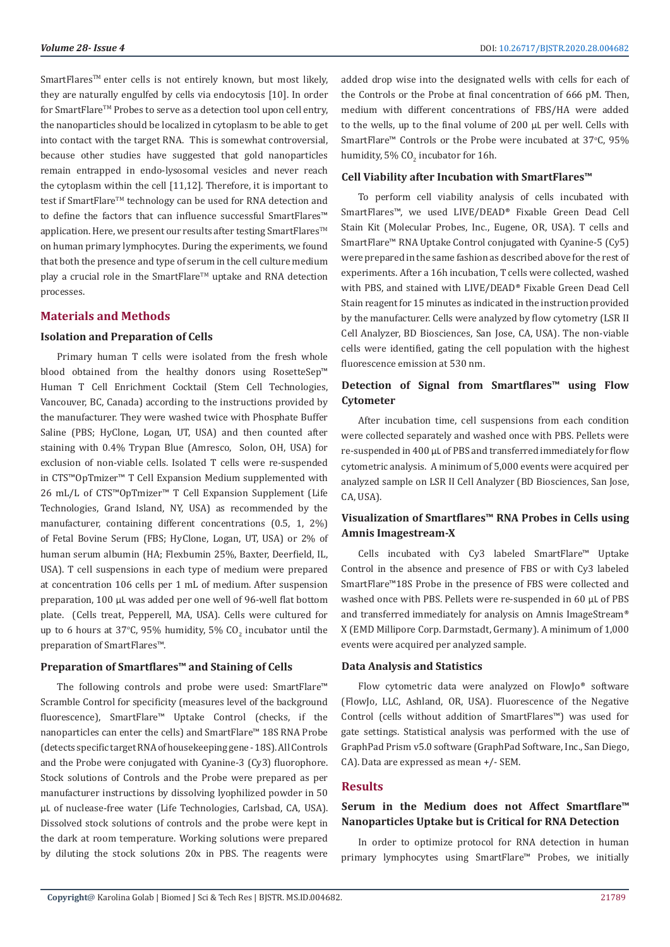SmartFlares<sup>™</sup> enter cells is not entirely known, but most likely, they are naturally engulfed by cells via endocytosis [10]. In order for SmartFlare™ Probes to serve as a detection tool upon cell entry, the nanoparticles should be localized in cytoplasm to be able to get into contact with the target RNA. This is somewhat controversial, because other studies have suggested that gold nanoparticles remain entrapped in endo-lysosomal vesicles and never reach the cytoplasm within the cell [11,12]. Therefore, it is important to test if SmartFlare™ technology can be used for RNA detection and to define the factors that can influence successful SmartFlares™ application. Here, we present our results after testing SmartFlares<sup>™</sup> on human primary lymphocytes. During the experiments, we found that both the presence and type of serum in the cell culture medium play a crucial role in the SmartFlare™ uptake and RNA detection processes.

# **Materials and Methods**

#### **Isolation and Preparation of Cells**

Primary human T cells were isolated from the fresh whole blood obtained from the healthy donors using RosetteSep™ Human T Cell Enrichment Cocktail (Stem Cell Technologies, Vancouver, BC, Canada) according to the instructions provided by the manufacturer. They were washed twice with Phosphate Buffer Saline (PBS; HyClone, Logan, UT, USA) and then counted after staining with 0.4% Trypan Blue (Amresco, Solon, OH, USA) for exclusion of non-viable cells. Isolated T cells were re-suspended in CTS™OpTmizer™ T Cell Expansion Medium supplemented with 26 mL/L of CTS™OpTmizer™ T Cell Expansion Supplement (Life Technologies, Grand Island, NY, USA) as recommended by the manufacturer, containing different concentrations (0.5, 1, 2%) of Fetal Bovine Serum (FBS; HyClone, Logan, UT, USA) or 2% of human serum albumin (HA; Flexbumin 25%, Baxter, Deerfield, IL, USA). T cell suspensions in each type of medium were prepared at concentration 106 cells per 1 mL of medium. After suspension preparation, 100 µL was added per one well of 96-well flat bottom plate. (Cells treat, Pepperell, MA, USA). Cells were cultured for up to 6 hours at 37°C, 95% humidity, 5% CO<sub>2</sub> incubator until the preparation of SmartFlares™.

#### **Preparation of Smartflares™ and Staining of Cells**

The following controls and probe were used: SmartFlare™ Scramble Control for specificity (measures level of the background fluorescence), SmartFlare™ Uptake Control (checks, if the nanoparticles can enter the cells) and SmartFlare™ 18S RNA Probe (detects specific target RNA of housekeeping gene - 18S). All Controls and the Probe were conjugated with Cyanine-3 (Cy3) fluorophore. Stock solutions of Controls and the Probe were prepared as per manufacturer instructions by dissolving lyophilized powder in 50 µL of nuclease-free water (Life Technologies, Carlsbad, CA, USA). Dissolved stock solutions of controls and the probe were kept in the dark at room temperature. Working solutions were prepared by diluting the stock solutions 20x in PBS. The reagents were

added drop wise into the designated wells with cells for each of the Controls or the Probe at final concentration of 666 pM. Then, medium with different concentrations of FBS/HA were added to the wells, up to the final volume of 200 µL per well. Cells with SmartFlare<sup>m</sup> Controls or the Probe were incubated at 37°C, 95% humidity, 5% CO $_2$  incubator for 16h.

#### **Cell Viability after Incubation with SmartFlares™**

To perform cell viability analysis of cells incubated with SmartFlares™, we used LIVE/DEAD® Fixable Green Dead Cell Stain Kit (Molecular Probes, Inc., Eugene, OR, USA). T cells and SmartFlare™ RNA Uptake Control conjugated with Cyanine-5 (Cy5) were prepared in the same fashion as described above for the rest of experiments. After a 16h incubation, T cells were collected, washed with PBS, and stained with LIVE/DEAD® Fixable Green Dead Cell Stain reagent for 15 minutes as indicated in the instruction provided by the manufacturer. Cells were analyzed by flow cytometry (LSR II Cell Analyzer, BD Biosciences, San Jose, CA, USA). The non-viable cells were identified, gating the cell population with the highest fluorescence emission at 530 nm.

# **Detection of Signal from Smartflares™ using Flow Cytometer**

After incubation time, cell suspensions from each condition were collected separately and washed once with PBS. Pellets were re-suspended in 400 µL of PBS and transferred immediately for flow cytometric analysis. A minimum of 5,000 events were acquired per analyzed sample on LSR II Cell Analyzer (BD Biosciences, San Jose, CA, USA).

# **Visualization of Smartflares™ RNA Probes in Cells using Amnis Imagestream-X**

Cells incubated with Cy3 labeled SmartFlare™ Uptake Control in the absence and presence of FBS or with Cy3 labeled SmartFlare™18S Probe in the presence of FBS were collected and washed once with PBS. Pellets were re-suspended in 60 uL of PBS and transferred immediately for analysis on Amnis ImageStream® X (EMD Millipore Corp. Darmstadt, Germany). A minimum of 1,000 events were acquired per analyzed sample.

#### **Data Analysis and Statistics**

Flow cytometric data were analyzed on FlowJo® software (FlowJo, LLC, Ashland, OR, USA). Fluorescence of the Negative Control (cells without addition of SmartFlares™) was used for gate settings. Statistical analysis was performed with the use of GraphPad Prism v5.0 software (GraphPad Software, Inc., San Diego, CA). Data are expressed as mean +/- SEM.

#### **Results**

# **Serum in the Medium does not Affect Smartflare™ Nanoparticles Uptake but is Critical for RNA Detection**

In order to optimize protocol for RNA detection in human primary lymphocytes using SmartFlare™ Probes, we initially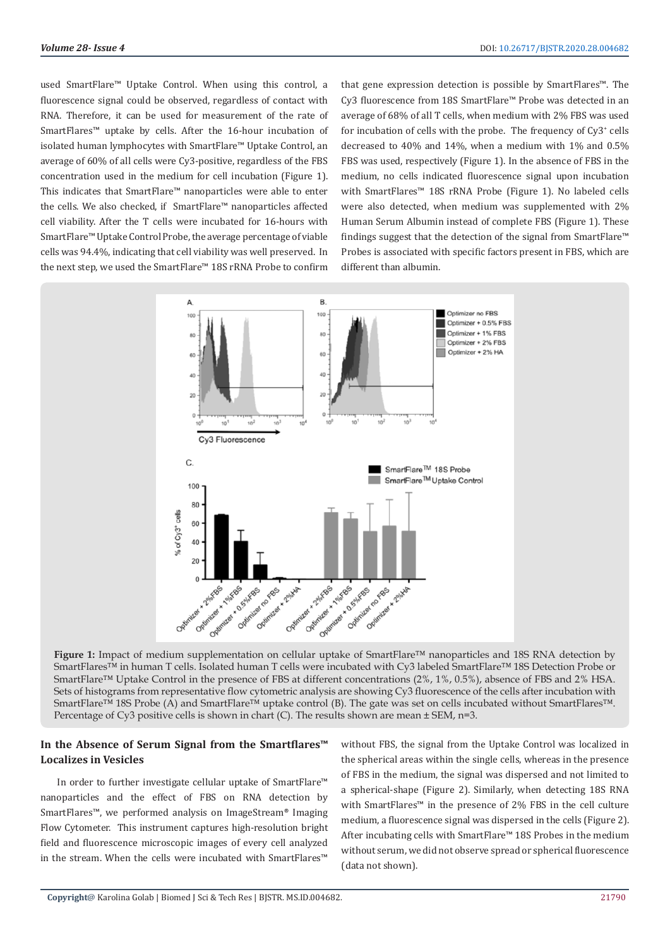used SmartFlare™ Uptake Control. When using this control, a fluorescence signal could be observed, regardless of contact with RNA. Therefore, it can be used for measurement of the rate of SmartFlares™ uptake by cells. After the 16-hour incubation of isolated human lymphocytes with SmartFlare™ Uptake Control, an average of 60% of all cells were Cy3-positive, regardless of the FBS concentration used in the medium for cell incubation (Figure 1). This indicates that SmartFlare™ nanoparticles were able to enter the cells. We also checked, if SmartFlare™ nanoparticles affected cell viability. After the T cells were incubated for 16-hours with SmartFlare™ Uptake Control Probe, the average percentage of viable cells was 94.4%, indicating that cell viability was well preserved. In the next step, we used the SmartFlare™ 18S rRNA Probe to confirm

that gene expression detection is possible by SmartFlares™. The Cy3 fluorescence from 18S SmartFlare™ Probe was detected in an average of 68% of all T cells, when medium with 2% FBS was used for incubation of cells with the probe. The frequency of Cy3<sup>+</sup> cells decreased to 40% and 14%, when a medium with 1% and 0.5% FBS was used, respectively (Figure 1). In the absence of FBS in the medium, no cells indicated fluorescence signal upon incubation with SmartFlares™ 18S rRNA Probe (Figure 1). No labeled cells were also detected, when medium was supplemented with 2% Human Serum Albumin instead of complete FBS (Figure 1). These findings suggest that the detection of the signal from SmartFlare™ Probes is associated with specific factors present in FBS, which are different than albumin.



**Figure 1:** Impact of medium supplementation on cellular uptake of SmartFlare™ nanoparticles and 18S RNA detection by SmartFlares™ in human T cells. Isolated human T cells were incubated with Cy3 labeled SmartFlare™ 18S Detection Probe or SmartFlare™ Uptake Control in the presence of FBS at different concentrations (2%, 1%, 0.5%), absence of FBS and 2% HSA. Sets of histograms from representative flow cytometric analysis are showing Cy3 fluorescence of the cells after incubation with SmartFlare™ 18S Probe (A) and SmartFlare™ uptake control (B). The gate was set on cells incubated without SmartFlares™. Percentage of Cy3 positive cells is shown in chart (C). The results shown are mean  $\pm$  SEM, n=3.

# **In the Absence of Serum Signal from the Smartflares™ Localizes in Vesicles**

In order to further investigate cellular uptake of SmartFlare™ nanoparticles and the effect of FBS on RNA detection by SmartFlares™, we performed analysis on ImageStream® Imaging Flow Cytometer. This instrument captures high-resolution bright field and fluorescence microscopic images of every cell analyzed in the stream. When the cells were incubated with SmartFlares™

without FBS, the signal from the Uptake Control was localized in the spherical areas within the single cells, whereas in the presence of FBS in the medium, the signal was dispersed and not limited to a spherical-shape (Figure 2). Similarly, when detecting 18S RNA with SmartFlares™ in the presence of 2% FBS in the cell culture medium, a fluorescence signal was dispersed in the cells (Figure 2). After incubating cells with SmartFlare™ 18S Probes in the medium without serum, we did not observe spread or spherical fluorescence (data not shown).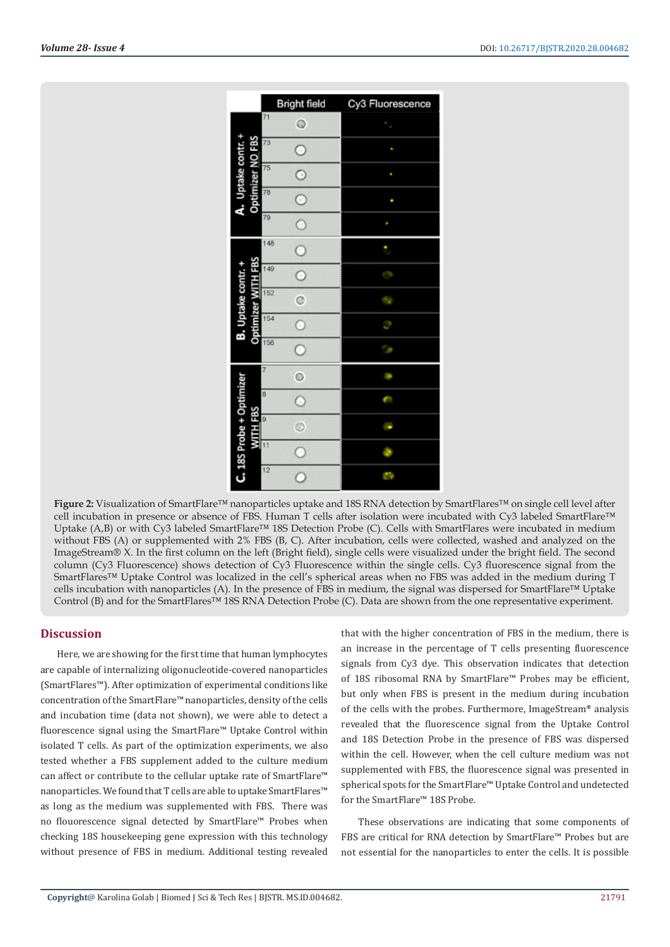

**Figure 2:** Visualization of SmartFlare™ nanoparticles uptake and 18S RNA detection by SmartFlares™ on single cell level after cell incubation in presence or absence of FBS. Human T cells after isolation were incubated with Cy3 labeled SmartFlare™ Uptake (A,B) or with Cy3 labeled SmartFlare™ 18S Detection Probe (C). Cells with SmartFlares were incubated in medium without FBS (A) or supplemented with 2% FBS (B, C). After incubation, cells were collected, washed and analyzed on the ImageStream® X. In the first column on the left (Bright field), single cells were visualized under the bright field. The second column (Cy3 Fluorescence) shows detection of Cy3 Fluorescence within the single cells. Cy3 fluorescence signal from the SmartFlares™ Uptake Control was localized in the cell's spherical areas when no FBS was added in the medium during T cells incubation with nanoparticles (A). In the presence of FBS in medium, the signal was dispersed for SmartFlare™ Uptake Control (B) and for the SmartFlares™ 18S RNA Detection Probe (C). Data are shown from the one representative experiment.

# **Discussion**

Here, we are showing for the first time that human lymphocytes are capable of internalizing oligonucleotide-covered nanoparticles (SmartFlares™). After optimization of experimental conditions like concentration of the SmartFlare™ nanoparticles, density of the cells and incubation time (data not shown), we were able to detect a fluorescence signal using the SmartFlare™ Uptake Control within isolated T cells. As part of the optimization experiments, we also tested whether a FBS supplement added to the culture medium can affect or contribute to the cellular uptake rate of SmartFlare™ nanoparticles. We found that T cells are able to uptake SmartFlares™ as long as the medium was supplemented with FBS. There was no flouorescence signal detected by SmartFlare™ Probes when checking 18S housekeeping gene expression with this technology without presence of FBS in medium. Additional testing revealed

that with the higher concentration of FBS in the medium, there is an increase in the percentage of T cells presenting fluorescence signals from Cy3 dye. This observation indicates that detection of 18S ribosomal RNA by SmartFlare™ Probes may be efficient, but only when FBS is present in the medium during incubation of the cells with the probes. Furthermore, ImageStream® analysis revealed that the fluorescence signal from the Uptake Control and 18S Detection Probe in the presence of FBS was dispersed within the cell. However, when the cell culture medium was not supplemented with FBS, the fluorescence signal was presented in spherical spots for the SmartFlare™ Uptake Control and undetected for the SmartFlare™ 18S Probe.

These observations are indicating that some components of FBS are critical for RNA detection by SmartFlare™ Probes but are not essential for the nanoparticles to enter the cells. It is possible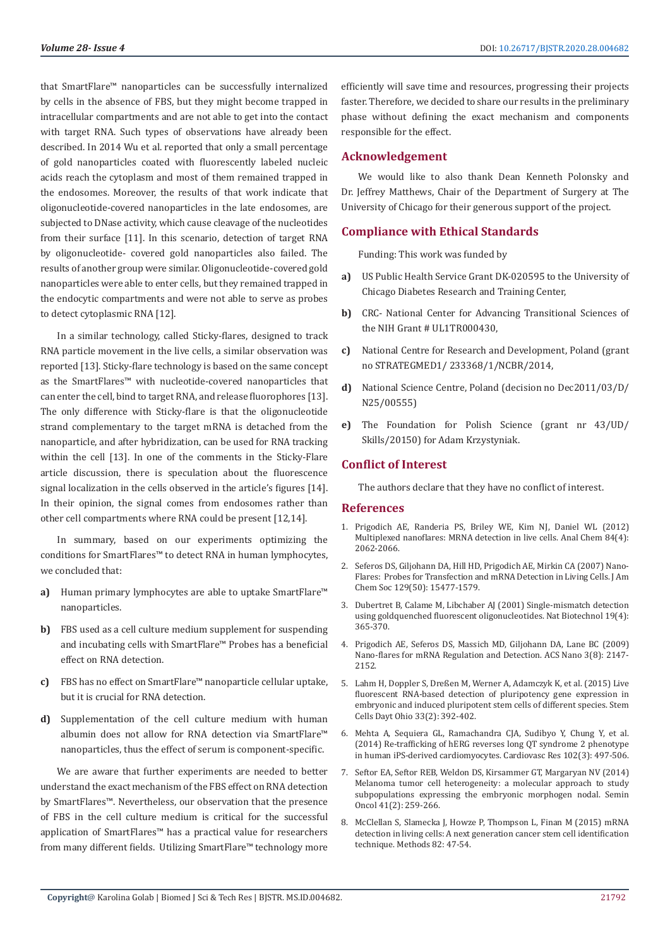that SmartFlare™ nanoparticles can be successfully internalized by cells in the absence of FBS, but they might become trapped in intracellular compartments and are not able to get into the contact with target RNA. Such types of observations have already been described. In 2014 Wu et al. reported that only a small percentage of gold nanoparticles coated with fluorescently labeled nucleic acids reach the cytoplasm and most of them remained trapped in the endosomes. Moreover, the results of that work indicate that oligonucleotide-covered nanoparticles in the late endosomes, are subjected to DNase activity, which cause cleavage of the nucleotides from their surface [11]. In this scenario, detection of target RNA by oligonucleotide- covered gold nanoparticles also failed. The results of another group were similar. Oligonucleotide-covered gold nanoparticles were able to enter cells, but they remained trapped in the endocytic compartments and were not able to serve as probes to detect cytoplasmic RNA [12].

In a similar technology, called Sticky-flares, designed to track RNA particle movement in the live cells, a similar observation was reported [13]. Sticky-flare technology is based on the same concept as the SmartFlares™ with nucleotide-covered nanoparticles that can enter the cell, bind to target RNA, and release fluorophores [13]. The only difference with Sticky-flare is that the oligonucleotide strand complementary to the target mRNA is detached from the nanoparticle, and after hybridization, can be used for RNA tracking within the cell [13]. In one of the comments in the Sticky-Flare article discussion, there is speculation about the fluorescence signal localization in the cells observed in the article's figures [14]. In their opinion, the signal comes from endosomes rather than other cell compartments where RNA could be present [12,14].

In summary, based on our experiments optimizing the conditions for SmartFlares™ to detect RNA in human lymphocytes, we concluded that:

- **a)** Human primary lymphocytes are able to uptake SmartFlare™ nanoparticles.
- **b)** FBS used as a cell culture medium supplement for suspending and incubating cells with SmartFlare™ Probes has a beneficial effect on RNA detection.
- **c)** FBS has no effect on SmartFlare™ nanoparticle cellular uptake, but it is crucial for RNA detection.
- **d)** Supplementation of the cell culture medium with human albumin does not allow for RNA detection via SmartFlare™ nanoparticles, thus the effect of serum is component-specific.

We are aware that further experiments are needed to better understand the exact mechanism of the FBS effect on RNA detection by SmartFlares™. Nevertheless, our observation that the presence of FBS in the cell culture medium is critical for the successful application of SmartFlares™ has a practical value for researchers from many different fields. Utilizing SmartFlare™ technology more

efficiently will save time and resources, progressing their projects faster. Therefore, we decided to share our results in the preliminary phase without defining the exact mechanism and components responsible for the effect.

# **Acknowledgement**

We would like to also thank Dean Kenneth Polonsky and Dr. Jeffrey Matthews, Chair of the Department of Surgery at The University of Chicago for their generous support of the project.

# **Compliance with Ethical Standards**

Funding: This work was funded by

- **a)** US Public Health Service Grant DK-020595 to the University of Chicago Diabetes Research and Training Center,
- **b)** CRC- National Center for Advancing Transitional Sciences of the NIH Grant # UL1TR000430,
- **c)** National Centre for Research and Development, Poland (grant no STRATEGMED1/ 233368/1/NCBR/2014,
- **d)** National Science Centre, Poland (decision no Dec2011/03/D/ N25/00555)
- **e)** The Foundation for Polish Science (grant nr 43/UD/ Skills/20150) for Adam Krzystyniak.

# **Conflict of Interest**

The authors declare that they have no conflict of interest.

## **References**

- 1. [Prigodich AE, Randeria PS, Briley WE, Kim NJ, Daniel WL \(2012\)](https://pubmed.ncbi.nlm.nih.gov/22288418/) [Multiplexed nanoflares: MRNA detection in live cells. Anal Chem 84\(4\):](https://pubmed.ncbi.nlm.nih.gov/22288418/) [2062-2066.](https://pubmed.ncbi.nlm.nih.gov/22288418/)
- 2. [Seferos DS, Giljohann DA, Hill HD, Prigodich AE, Mirkin CA \(2007\) Nano-](https://www.ncbi.nlm.nih.gov/pmc/articles/PMC3200543/)[Flares:  Probes for Transfection and mRNA Detection in Living Cells. J Am](https://www.ncbi.nlm.nih.gov/pmc/articles/PMC3200543/) [Chem Soc 129\(50\): 15477-1579.](https://www.ncbi.nlm.nih.gov/pmc/articles/PMC3200543/)
- 3. [Dubertret B, Calame M, Libchaber AJ \(2001\) Single-mismatch detection](https://pubmed.ncbi.nlm.nih.gov/11283596/) [using goldquenched fluorescent oligonucleotides. Nat Biotechnol 19\(4\):](https://pubmed.ncbi.nlm.nih.gov/11283596/) [365-370.](https://pubmed.ncbi.nlm.nih.gov/11283596/)
- 4. [Prigodich AE, Seferos DS, Massich MD, Giljohann DA, Lane BC \(2009\)](https://www.ncbi.nlm.nih.gov/pmc/articles/PMC2742376/) [Nano-flares for mRNA Regulation and Detection. ACS Nano 3\(8\): 2147-](https://www.ncbi.nlm.nih.gov/pmc/articles/PMC2742376/) [2152.](https://www.ncbi.nlm.nih.gov/pmc/articles/PMC2742376/)
- 5. [Lahm H, Doppler S, Dreßen M, Werner A, Adamczyk K, et al. \(2015\) Live](https://pubmed.ncbi.nlm.nih.gov/25335772/) [fluorescent RNA-based detection of pluripotency gene expression in](https://pubmed.ncbi.nlm.nih.gov/25335772/) [embryonic and induced pluripotent stem cells of different species. Stem](https://pubmed.ncbi.nlm.nih.gov/25335772/) [Cells Dayt Ohio 33\(2\): 392-402.](https://pubmed.ncbi.nlm.nih.gov/25335772/)
- 6. [Mehta A, Sequiera GL, Ramachandra CJA, Sudibyo Y, Chung Y, et al.](https://pubmed.ncbi.nlm.nih.gov/24623279/) [\(2014\) Re-trafficking of hERG reverses long QT syndrome 2 phenotype](https://pubmed.ncbi.nlm.nih.gov/24623279/) [in human iPS-derived cardiomyocytes. Cardiovasc Res 102\(3\): 497-506.](https://pubmed.ncbi.nlm.nih.gov/24623279/)
- 7. [Seftor EA, Seftor REB, Weldon DS, Kirsammer GT, Margaryan NV \(2014\)](https://pubmed.ncbi.nlm.nih.gov/24787297/) [Melanoma tumor cell heterogeneity: a molecular approach to study](https://pubmed.ncbi.nlm.nih.gov/24787297/) [subpopulations expressing the embryonic morphogen nodal. Semin](https://pubmed.ncbi.nlm.nih.gov/24787297/) [Oncol 41\(2\): 259-266.](https://pubmed.ncbi.nlm.nih.gov/24787297/)
- 8. [McClellan S, Slamecka J, Howze P, Thompson L, Finan M \(2015\) mRNA](https://pubmed.ncbi.nlm.nih.gov/25920950/) [detection in living cells: A next generation cancer stem cell identification](https://pubmed.ncbi.nlm.nih.gov/25920950/) [technique. Methods 82: 47-54.](https://pubmed.ncbi.nlm.nih.gov/25920950/)